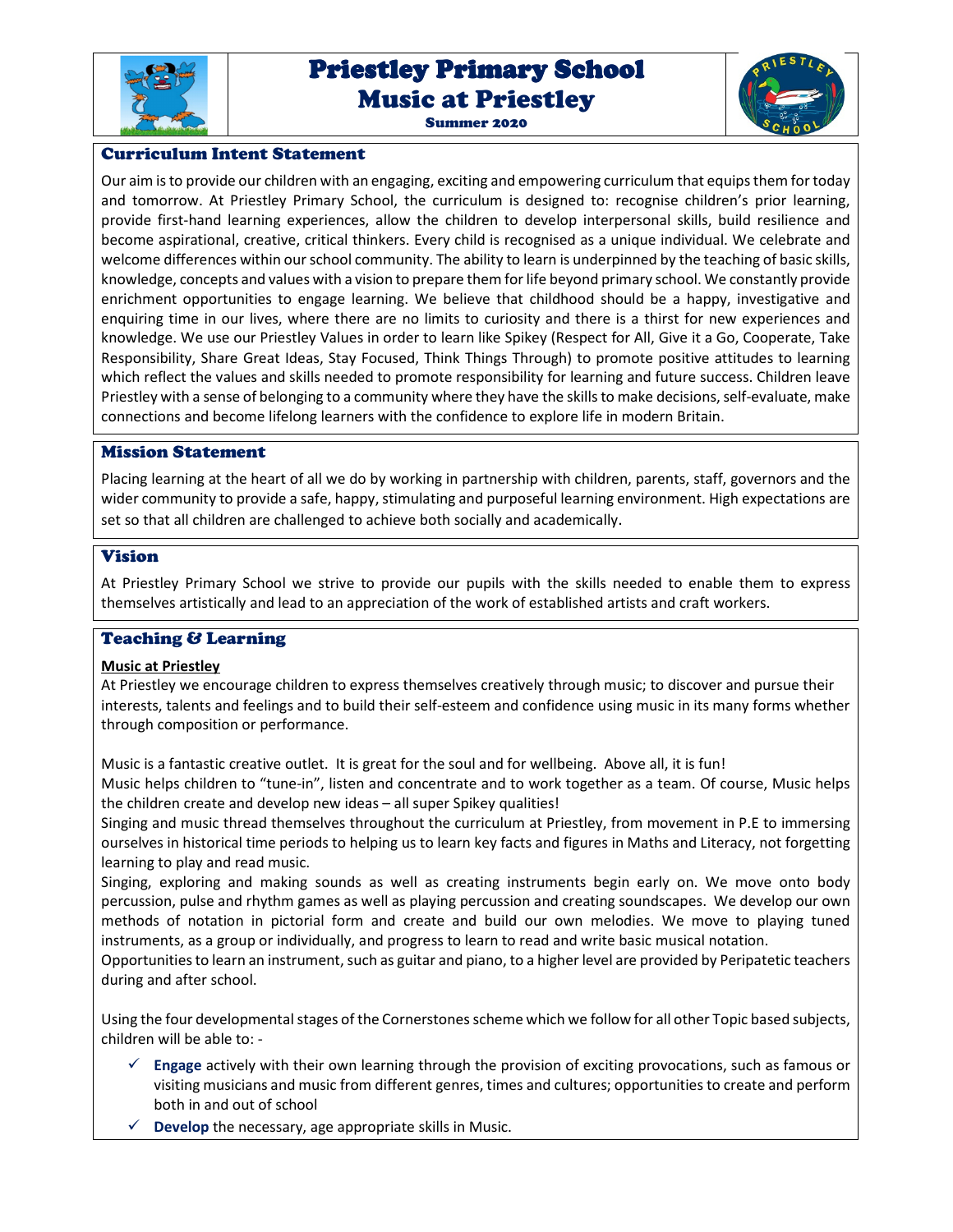

# Priestley Primary School Priestley Primary School Music at Priestley





# Curriculum Intent Statement

Our aim is to provide our children with an engaging, exciting and empowering curriculum that equips them for today and tomorrow. At Priestley Primary School, the curriculum is designed to: recognise children's prior learning, provide first-hand learning experiences, allow the children to develop interpersonal skills, build resilience and become aspirational, creative, critical thinkers. Every child is recognised as a unique individual. We celebrate and welcome differences within our school community. The ability to learn is underpinned by the teaching of basic skills, knowledge, concepts and values with a vision to prepare them for life beyond primary school. We constantly provide enrichment opportunities to engage learning. We believe that childhood should be a happy, investigative and enquiring time in our lives, where there are no limits to curiosity and there is a thirst for new experiences and knowledge. We use our Priestley Values in order to learn like Spikey (Respect for All, Give it a Go, Cooperate, Take Responsibility, Share Great Ideas, Stay Focused, Think Things Through) to promote positive attitudes to learning which reflect the values and skills needed to promote responsibility for learning and future success. Children leave Priestley with a sense of belonging to a community where they have the skills to make decisions, self-evaluate, make connections and become lifelong learners with the confidence to explore life in modern Britain.

# Mission Statement

Placing learning at the heart of all we do by working in partnership with children, parents, staff, governors and the wider community to provide a safe, happy, stimulating and purposeful learning environment. High expectations are set so that all children are challenged to achieve both socially and academically.

# Vision

At Priestley Primary School we strive to provide our pupils with the skills needed to enable them to express themselves artistically and lead to an appreciation of the work of established artists and craft workers.

# Teaching & Learning

# **Music at Priestley**

At Priestley we encourage children to express themselves creatively through music; to discover and pursue their interests, talents and feelings and to build their self-esteem and confidence using music in its many forms whether through composition or performance.

Music is a fantastic creative outlet. It is great for the soul and for wellbeing. Above all, it is fun!

Music helps children to "tune-in", listen and concentrate and to work together as a team. Of course, Music helps the children create and develop new ideas – all super Spikey qualities!

Singing and music thread themselves throughout the curriculum at Priestley, from movement in P.E to immersing ourselves in historical time periods to helping us to learn key facts and figures in Maths and Literacy, not forgetting learning to play and read music.

Singing, exploring and making sounds as well as creating instruments begin early on. We move onto body percussion, pulse and rhythm games as well as playing percussion and creating soundscapes. We develop our own methods of notation in pictorial form and create and build our own melodies. We move to playing tuned instruments, as a group or individually, and progress to learn to read and write basic musical notation.

Opportunities to learn an instrument, such as guitar and piano, to a higher level are provided by Peripatetic teachers during and after school.

Using the four developmental stages of the Cornerstones scheme which we follow for all other Topic based subjects, children will be able to: -

- **Engage** actively with their own learning through the provision of exciting provocations, such as famous or visiting musicians and music from different genres, times and cultures; opportunities to create and perform both in and out of school
- **Develop** the necessary, age appropriate skills in Music.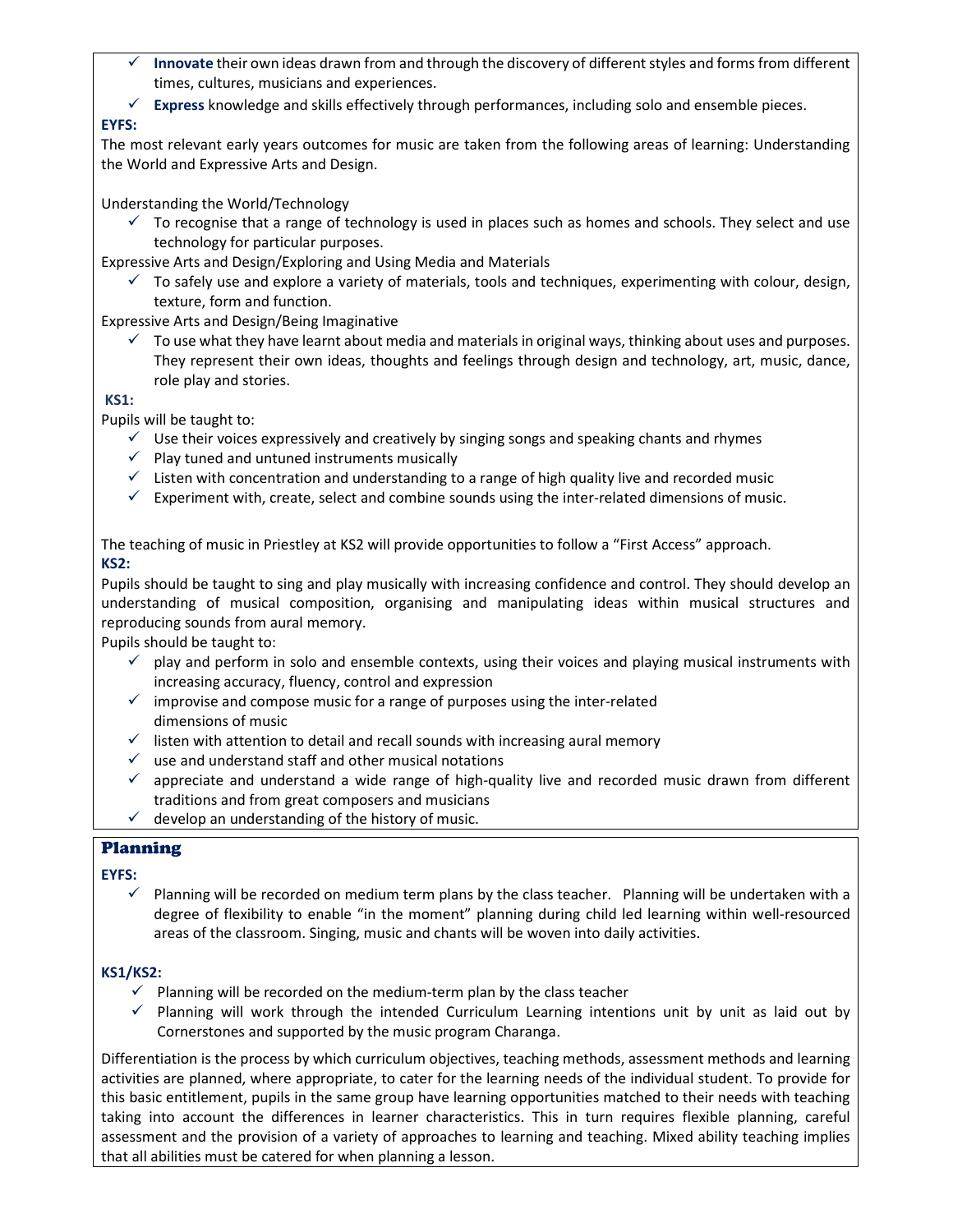- **Innovate** their own ideas drawn from and through the discovery of different styles and forms from different times, cultures, musicians and experiences.
- **Express** knowledge and skills effectively through performances, including solo and ensemble pieces.

# **EYFS:**

The most relevant early years outcomes for music are taken from the following areas of learning: Understanding the World and Expressive Arts and Design.

Understanding the World/Technology

 $\checkmark$  To recognise that a range of technology is used in places such as homes and schools. They select and use technology for particular purposes.

Expressive Arts and Design/Exploring and Using Media and Materials

 $\checkmark$  To safely use and explore a variety of materials, tools and techniques, experimenting with colour, design, texture, form and function.

Expressive Arts and Design/Being Imaginative

 $\checkmark$  To use what they have learnt about media and materials in original ways, thinking about uses and purposes. They represent their own ideas, thoughts and feelings through design and technology, art, music, dance, role play and stories.

 **KS1:** 

Pupils will be taught to:

- $\checkmark$  Use their voices expressively and creatively by singing songs and speaking chants and rhymes
- $\checkmark$  Play tuned and untuned instruments musically
- $\checkmark$  Listen with concentration and understanding to a range of high quality live and recorded music
- $\checkmark$  Experiment with, create, select and combine sounds using the inter-related dimensions of music.

The teaching of music in Priestley at KS2 will provide opportunities to follow a "First Access" approach. **KS2:** 

Pupils should be taught to sing and play musically with increasing confidence and control. They should develop an understanding of musical composition, organising and manipulating ideas within musical structures and reproducing sounds from aural memory.

Pupils should be taught to:

- $\checkmark$  play and perform in solo and ensemble contexts, using their voices and playing musical instruments with increasing accuracy, fluency, control and expression
- $\checkmark$  improvise and compose music for a range of purposes using the inter-related dimensions of music
- $\checkmark$  listen with attention to detail and recall sounds with increasing aural memory
- $\checkmark$  use and understand staff and other musical notations
- $\checkmark$  appreciate and understand a wide range of high-quality live and recorded music drawn from different traditions and from great composers and musicians
- $\checkmark$  develop an understanding of the history of music.

# Planning

# **EYFS:**

 $\checkmark$  Planning will be recorded on medium term plans by the class teacher. Planning will be undertaken with a degree of flexibility to enable "in the moment" planning during child led learning within well-resourced areas of the classroom. Singing, music and chants will be woven into daily activities.

# **KS1/KS2:**

- $\checkmark$  Planning will be recorded on the medium-term plan by the class teacher
- $\checkmark$  Planning will work through the intended Curriculum Learning intentions unit by unit as laid out by Cornerstones and supported by the music program Charanga.

Differentiation is the process by which curriculum objectives, teaching methods, assessment methods and learning activities are planned, where appropriate, to cater for the learning needs of the individual student. To provide for this basic entitlement, pupils in the same group have learning opportunities matched to their needs with teaching taking into account the differences in learner characteristics. This in turn requires flexible planning, careful assessment and the provision of a variety of approaches to learning and teaching. Mixed ability teaching implies that all abilities must be catered for when planning a lesson.